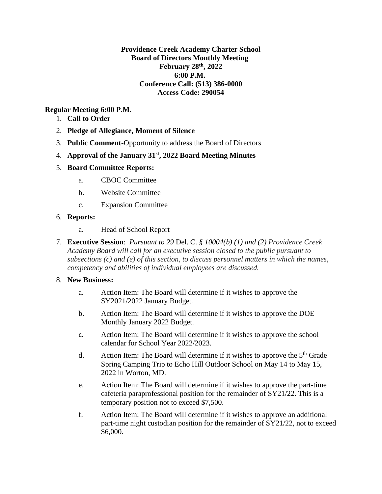**Providence Creek Academy Charter School Board of Directors Monthly Meeting February 28th, 2022 6:00 P.M. Conference Call: (513) 386-0000 Access Code: 290054**

# **Regular Meeting 6:00 P.M.**

- 1. **Call to Order**
- 2. **Pledge of Allegiance, Moment of Silence**
- 3. **Public Comment**-Opportunity to address the Board of Directors
- 4. **Approval of the January 31st, 2022 Board Meeting Minutes**

## 5. **Board Committee Reports:**

- a. CBOC Committee
- b. Website Committee
- c. Expansion Committee

### 6. **Reports:**

- a. Head of School Report
- 7. **Executive Session**: *Pursuant to 29* Del. C. *§ 10004(b) (1) and (2) Providence Creek Academy Board will call for an executive session closed to the public pursuant to subsections (c) and (e) of this section, to discuss personnel matters in which the names, competency and abilities of individual employees are discussed.*

### 8. **New Business:**

- a. Action Item: The Board will determine if it wishes to approve the SY2021/2022 January Budget.
- b. Action Item: The Board will determine if it wishes to approve the DOE Monthly January 2022 Budget.
- c. Action Item: The Board will determine if it wishes to approve the school calendar for School Year 2022/2023.
- d. Action Item: The Board will determine if it wishes to approve the  $5<sup>th</sup>$  Grade Spring Camping Trip to Echo Hill Outdoor School on May 14 to May 15, 2022 in Worton, MD.
- e. Action Item: The Board will determine if it wishes to approve the part-time cafeteria paraprofessional position for the remainder of SY21/22. This is a temporary position not to exceed \$7,500.
- f. Action Item: The Board will determine if it wishes to approve an additional part-time night custodian position for the remainder of SY21/22, not to exceed \$6,000.